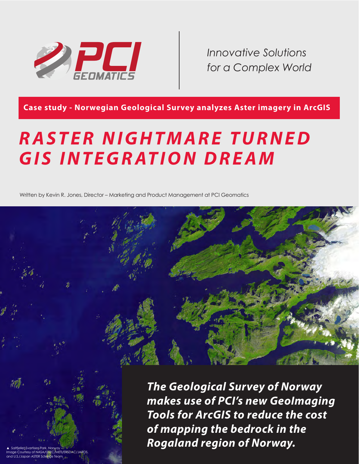

*Innovative Solutions for a Complex World*

**Case study - Norwegian Geological Survey analyzes Aster imagery in ArcGIS**

# *R A S T E R N I G H T M A R E T U R N E D*  **GIS INTEGRATION DREAM**

Written by Kevin R. Jones, Director – Marketing and Product Management at PCI Geomatics



*The Geological Survey of Norway makes use of PCI's new GeoImaging Tools for ArcGIS to reduce the cost of mapping the bedrock in the Rogaland region of Norway.*

▲ Saltfjellet-Svartisen Park, Norway - Image Courtesy of NASA/GSFC/METI/ERSDAC/JAROS, and U.S./Japan ASTER Science Team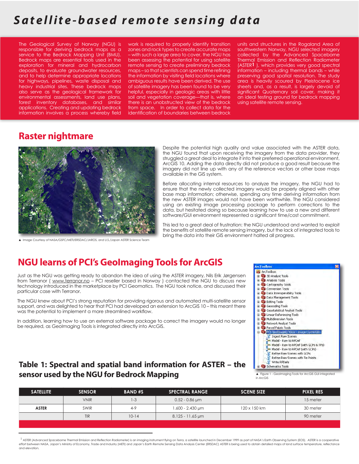# Satellite-based remote sensing data

The Geological Survey of Norway (NGU) is responsible for deriving bedrock maps as a service to the Bedrock Mapping Unit (BMU). Bedrock maps are essential tools used in the exploration for mineral and hydrocarbon deposits, to evaluate groundwater resources, and to help determine appropriate locations for highways, pipelines, waste disposal and heavy industrial sites. These bedrock maps also serve as the geological framework for environmental assessments, land use plans, forest inventory databases, and similar applications. Creating and updating bedrock information involves a process whereby field

work is required to properly identify transition zones and rock types to create accurate maps – with such a large area to cover, the NGU has been assessing the potential for using satellite remote sensing to create preliminary bedrock maps – so that scientists can spend time refining the information by visiting field locations where ambiguous results have been derived. The use of satellite imagery has been found to be very helpful, especially in geologic areas with little soil and vegetation coverage—that is, where there is an unobstructed view of the bedrock from space. In order to collect data for the identification of boundaries between bedrock

units and structures in the Rogaland Area of southwestern Norway, NGU selected imagery collected by the Advanced Spaceborne Thermal Emission and Reflection Radiometer (ASTER**1** ), which provides very good spectral information – including thermal bands – while preserving good spatial resolution. The study area is heavily scoured by Pleistocene ice sheets and, as a result, is largely devoid of significant Quaternary soil cover, making it an ideal testing ground for bedrock mapping using satellite remote sensing.

#### **Raster nightmare**



▲ Image Courtesy of NASA/GSFC/METI/ERSDAC/JAROS, and U.S./Japan ASTER Science Team

Despite the potential high quality and value associated with the ASTER data, the NGU found that upon receiving the imagery from the data provider, they struggled a great deal to integrate it into their preferred operational environment, ArcGIS 10. Adding the data directly did not produce a good result because the imagery did not line up with any of the reference vectors or other base maps available in the GIS system.

Before allocating internal resources to analyze the imagery, the NGU had to ensure that the newly collected imagery would be properly aligned with other base map information; otherwise, spending any time deriving information from the new ASTER images would not have been worthwhile. The NGU considered using an existing image processing package to perform corrections to the data, but hesitated doing so because learning how to use a new and different software/GUI environment represented a significant time/cost commitment.

This led to a great deal of frustration: the NGU understood and wanted to exploit the benefits of satellite remote sensing imagery, but the lack of integrated tools to bring the data into their GIS environment halted all progress.

#### **NGU learns of PCI's GeoImaging Tools for ArcGIS**

Just as the NGU was getting ready to abandon the idea of using the ASTER imagery, Nils Erik Jørgensen from Terranor ( www.terranor.no - PCI reseller based in Norway ) contacted the NGU to discuss new technology introduced in the marketplace by PCI Geomatics. The NGU took notice, and discussed their particular case with Terranor.

The NGU knew about PCI's strong reputation for providing rigorous and automated multi-satellite sensor support, and was delighted to hear that PCI had developed an extension to ArcGIS 10 – this meant there was the potential to implement a more streamlined workflow.

In addition, learning how to use an external software package to correct the imagery would no longer be required, as GeoImaging Tools is integrated directly into ArcGIS.



#### **Table 1: Spectral and spatial band information for ASTER – the sensor used by the NGU for Bedrock Mapping**

| <b>SATELLITE</b> | <b>SENSOR</b> | <b>BAND#S</b> | <b>SPECTRAL RANGE</b> | <b>SCENE SIZE</b> | <b>PIXEL RES</b> |
|------------------|---------------|---------------|-----------------------|-------------------|------------------|
|                  | <b>VNIR</b>   | $1 - 3$       | $0.52 - 0.86$ µm      |                   | 15 meter         |
| <b>ASTER</b>     | <b>SWIR</b>   | $4 - 9$       | 1.600 - 2.430 um      | 120 x 150 km      | 30 meter         |
|                  | <b>TIR</b>    | $10 - 14$     | 8.125 - 11.65 µm      |                   | 90 meter         |
|                  |               |               |                       |                   |                  |

<sup>1</sup> ASTER (Advanced Spaceborne Thermal Emission and Reflection Radiometer) is an imaging instrument flying on Terra, a satellite launched in December 1999 as part of NASA's Earth Observing System (EOS). ASTER is a cooperat effort between NASA, Japan's Ministry of Economy, Trade and Industry (METI) and Japan's Earth Remote Sensing Data Analysis Center (ERSDAC) ASTER is being used to obtain detailed maps of land surface temperature, reflectance and elevation.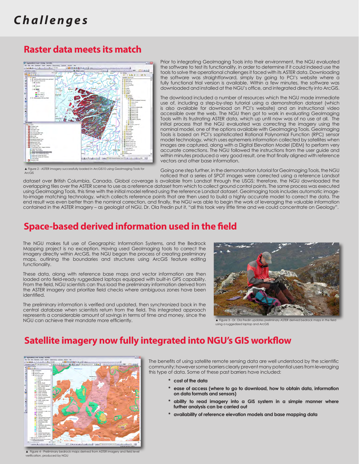# *C h a l l e n g e s*

#### **Raster data meets its match**



▲ Figure 2 - ASTER imagery successfully loaded in ArcGIS10 using GeoImaging Tools for ArcGIS

Prior to integrating GeoImaging Tools into their environment, the NGU evaluated the software to test its functionality, in order to determine if it could indeed use the tools to solve the operational challenges it faced with its ASTER data. Downloading the software was straightforward, simply by going to PCI's website where a fully functional trial version is available. Within a few minutes, the software was downloaded and installed at the NGU's office, and integrated directly into ArcGIS.

The download included a number of resources which the NGU made immediate use of, including a step-by-step tutorial using a demonstration dataset (which is also available for download on PCI's website) and an instructional video accessible over the web. The NGU then got to work in evaluating GeoImaging Tools with its frustrating ASTER data, which up until now was of no use at all. The initial process that the NGU evaluated was correcting the imagery using the nominal model, one of the options available with GeoImaging Tools. GeoImaging Tools is based on PCI's sophisticated Rational Polynomial Function (RPC) sensor model technology, which uses ephemeris information collected by satellites when images are captured, along with a Digital Elevation Model (DEM) to perform very accurate corrections. The NGU followed the instructions from the user guide and within minutes produced a very good result, one that finally aligned with reference vectors and other base information.

Going one step further, in the demonstration tutorial for GeoImaging Tools, the NGU noticed that a series of SPOT images were corrected using a reference Landsat

dataset over British Columbia, Canada. Global coverage is available from Landsat through the USGS; therefore, the NGU downloaded the overlapping tiles over the ASTER scene to use as a reference dataset from which to collect ground control points. The same process was executed using GeoImaging Tools, this time with the initial model refined using the reference Landsat dataset. GeoImaging tools includes automatic imageto-image matching technology, which collects reference points that are then used to build a highly accurate model to correct the data. The end result was even better than the nominal correction, and finally, the NGU was able to begin the work of leveraging the valuable information contained in the ASTER imagery – as geologist of NGU, Dr. Ola Fredin put it, "all this took very little time and we could concentrate on Geology".

#### **Space-based derived information used in the field**

The NGU makes full use of Geographic Information Systems, and the Bedrock Mapping project is no exception. Having used GeoImaging tools to correct the imagery directly within ArcGIS, the NGU began the process of creating preliminary maps, outlining the boundaries and structures using ArcGIS feature editing functionality.

These data, along with reference base maps and vector information are then loaded onto field-ready ruggedized laptops equipped with built-in GPS capability. From the field, NGU scientists can thus load the preliminary information derived from the ASTER imagery and prioritize field checks where ambiguous zones have been identified.

The preliminary information is verified and updated, then synchronized back in the central database when scientists return from the field. This integrated approach represents a considerable amount of savings in terms of time and money, since the NGU can achieve their mandate more efficiently.



- Dr. Ola Fredin updates preli using a ruggedized laptop and ArcGIS

### **Satellite imagery now fully integrated into NGU's GIS workflow**



▲ Figure 4 - Preliminary bedrock maps derived from ASTER imagery and field le verification, produced by NGU

The benefits of using satellite remote sensing data are well understood by the scientific community; however some barriers clearly prevent many potential users from leveraging this type of data. Some of these past barriers have included:

- **\* cost of the data**
- **\* ease of access (where to go to download, how to obtain data, information on data formats and sensors)**
- **\* ability to read imagery into a GIS system in a simple manner where further analysis can be carried out**
- **\* availability of reference elevation models and base mapping data**